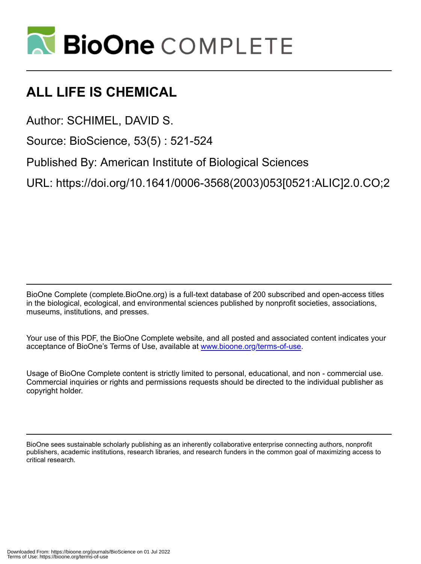

# **ALL LIFE IS CHEMICAL**

Author: SCHIMEL, DAVID S.

Source: BioScience, 53(5) : 521-524

Published By: American Institute of Biological Sciences

URL: https://doi.org/10.1641/0006-3568(2003)053[0521:ALIC]2.0.CO;2

BioOne Complete (complete.BioOne.org) is a full-text database of 200 subscribed and open-access titles in the biological, ecological, and environmental sciences published by nonprofit societies, associations, museums, institutions, and presses.

Your use of this PDF, the BioOne Complete website, and all posted and associated content indicates your acceptance of BioOne's Terms of Use, available at www.bioone.org/terms-of-use.

Usage of BioOne Complete content is strictly limited to personal, educational, and non - commercial use. Commercial inquiries or rights and permissions requests should be directed to the individual publisher as copyright holder.

BioOne sees sustainable scholarly publishing as an inherently collaborative enterprise connecting authors, nonprofit publishers, academic institutions, research libraries, and research funders in the common goal of maximizing access to critical research.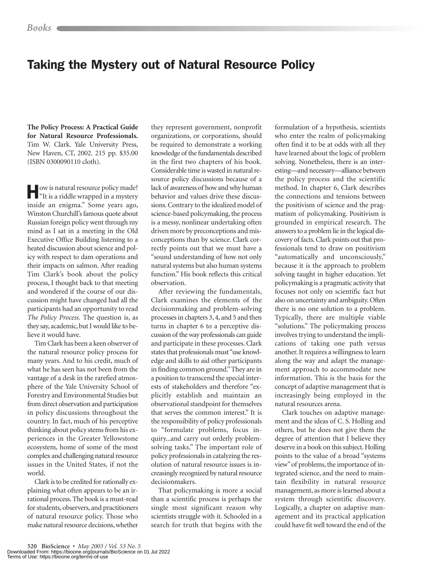# Taking the Mystery out of Natural Resource Policy

**The Policy Process: A Practical Guide for Natural Resource Professionals.** Tim W. Clark. Yale University Press, New Haven, CT, 2002. 215 pp. \$35.00 (ISBN 0300090110 cloth).

How is natural resource policy made? "It is a riddle wrapped in a mystery inside an enigma." Some years ago, Winston Churchill's famous quote about Russian foreign policy went through my mind as I sat in a meeting in the Old Executive Office Building listening to a heated discussion about science and policy with respect to dam operations and their impacts on salmon. After reading Tim Clark's book about the policy process, I thought back to that meeting and wondered if the course of our discussion might have changed had all the participants had an opportunity to read *The Policy Process.* The question is, as they say, academic, but I would like to believe it would have.

Tim Clark has been a keen observer of the natural resource policy process for many years. And to his credit, much of what he has seen has not been from the vantage of a desk in the rarefied atmosphere of the Yale University School of Forestry and Environmental Studies but from direct observation and participation in policy discussions throughout the country. In fact, much of his perceptive thinking about policy stems from his experiences in the Greater Yellowstone ecosystem, home of some of the most complex and challenging natural resource issues in the United States, if not the world.

Clark is to be credited for rationally explaining what often appears to be an irrational process. The book is a must-read for students, observers, and practitioners of natural resource policy. Those who make natural resource decisions, whether

they represent government, nonprofit organizations, or corporations, should be required to demonstrate a working knowledge of the fundamentals described in the first two chapters of his book. Considerable time is wasted in natural resource policy discussions because of a lack of awareness of how and why human behavior and values drive these discussions. Contrary to the idealized model of science-based policymaking, the process is a messy, nonlinear undertaking often driven more by preconceptions and misconceptions than by science. Clark correctly points out that we must have a "sound understanding of how not only natural systems but also human systems function." His book reflects this critical observation.

After reviewing the fundamentals, Clark examines the elements of the decisionmaking and problem-solving processes in chapters 3, 4, and 5 and then turns in chapter 6 to a perceptive discussion of the way professionals can guide and participate in these processes. Clark states that professionals must "use knowledge and skills to aid other participants in finding common ground."They are in a position to transcend the special interests of stakeholders and therefore "explicitly establish and maintain an observational standpoint for themselves that serves the common interest." It is the responsibility of policy professionals to "formulate problems, focus inquiry...and carry out orderly problemsolving tasks." The important role of policy professionals in catalyzing the resolution of natural resource issues is increasingly recognized by natural resource decisionmakers.

That policymaking is more a social than a scientific process is perhaps the single most significant reason why scientists struggle with it. Schooled in a search for truth that begins with the

formulation of a hypothesis, scientists who enter the realm of policymaking often find it to be at odds with all they have learned about the logic of problem solving. Nonetheless, there is an interesting—and necessary—alliance between the policy process and the scientific method. In chapter 6, Clark describes the connections and tensions between the positivism of science and the pragmatism of policymaking. Positivism is grounded in empirical research. The answers to a problem lie in the logical discovery of facts. Clark points out that professionals tend to draw on positivism "automatically and unconsciously," because it is the approach to problem solving taught in higher education. Yet policymaking is a pragmatic activity that focuses not only on scientific fact but also on uncertainty and ambiguity. Often there is no one solution to a problem. Typically, there are multiple viable "solutions." The policymaking process involves trying to understand the implications of taking one path versus another. It requires a willingness to learn along the way and adapt the management approach to accommodate new information. This is the basis for the concept of adaptive management that is increasingly being employed in the natural resources arena.

Clark touches on adaptive management and the ideas of C. S. Holling and others, but he does not give them the degree of attention that I believe they deserve in a book on this subject. Holling points to the value of a broad "systems view"of problems, the importance of integrated science, and the need to maintain flexibility in natural resource management, as more is learned about a system through scientific discovery. Logically, a chapter on adaptive management and its practical application could have fit well toward the end of the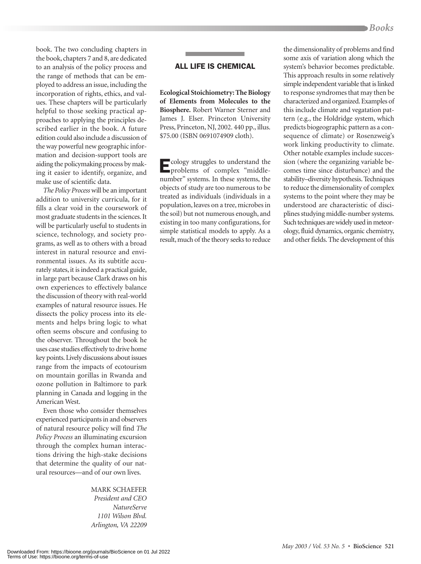book. The two concluding chapters in the book, chapters 7 and 8, are dedicated to an analysis of the policy process and the range of methods that can be employed to address an issue, including the incorporation of rights, ethics, and values. These chapters will be particularly helpful to those seeking practical approaches to applying the principles described earlier in the book. A future edition could also include a discussion of the way powerful new geographic information and decision-support tools are aiding the policymaking process by making it easier to identify, organize, and make use of scientific data.

*The Policy Process*will be an important addition to university curricula, for it fills a clear void in the coursework of most graduate students in the sciences. It will be particularly useful to students in science, technology, and society programs, as well as to others with a broad interest in natural resource and environmental issues. As its subtitle accurately states, it is indeed a practical guide, in large part because Clark draws on his own experiences to effectively balance the discussion of theory with real-world examples of natural resource issues. He dissects the policy process into its elements and helps bring logic to what often seems obscure and confusing to the observer. Throughout the book he uses case studies effectively to drive home key points. Lively discussions about issues range from the impacts of ecotourism on mountain gorillas in Rwanda and ozone pollution in Baltimore to park planning in Canada and logging in the American West.

Even those who consider themselves experienced participants in and observers of natural resource policy will find *The Policy Process* an illuminating excursion through the complex human interactions driving the high-stake decisions that determine the quality of our natural resources—and of our own lives.

> MARK SCHAEFER *President and CEO NatureServe 1101 Wilson Blvd. Arlington, VA 22209*

# ALL LIFE IS CHEMICAL

**Ecological Stoichiometry: The Biology of Elements from Molecules to the Biosphere.** Robert Warner Sterner and James J. Elser. Princeton University Press, Princeton, NJ, 2002. 440 pp., illus. \$75.00 (ISBN 0691074909 cloth).

Ecology struggles to understand the problems of complex "middlenumber" systems. In these systems, the objects of study are too numerous to be treated as individuals (individuals in a population, leaves on a tree, microbes in the soil) but not numerous enough, and existing in too many configurations, for simple statistical models to apply. As a result, much of the theory seeks to reduce the dimensionality of problems and find some axis of variation along which the system's behavior becomes predictable. This approach results in some relatively simple independent variable that is linked to response syndromes that may then be characterized and organized. Examples of this include climate and vegatation pattern (e.g., the Holdridge system, which predicts biogeographic pattern as a consequence of climate) or Rosenzweig's work linking productivity to climate. Other notable examples include succession (where the organizing variable becomes time since disturbance) and the stability–diversity hypothesis. Techniques to reduce the dimensionality of complex systems to the point where they may be understood are characteristic of disciplines studying middle-number systems. Such techniques are widely used in meteorology, fluid dynamics, organic chemistry, and other fields. The development of this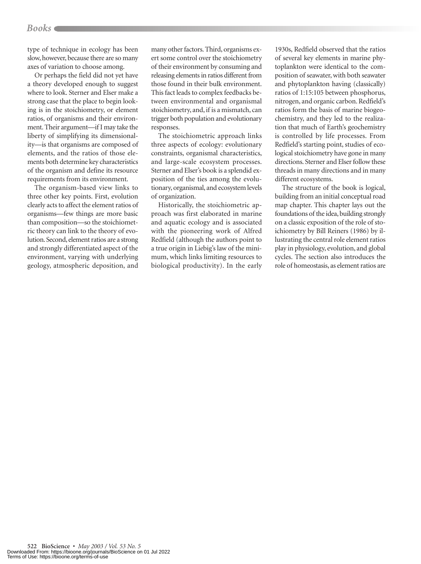type of technique in ecology has been slow, however, because there are so many axes of variation to choose among.

Or perhaps the field did not yet have a theory developed enough to suggest where to look. Sterner and Elser make a strong case that the place to begin looking is in the stoichiometry, or element ratios, of organisms and their environment. Their argument—if I may take the liberty of simplifying its dimensionality—is that organisms are composed of elements, and the ratios of those elements both determine key characteristics of the organism and define its resource requirements from its environment.

The organism-based view links to three other key points. First, evolution clearly acts to affect the element ratios of organisms—few things are more basic than composition—so the stoichiometric theory can link to the theory of evolution. Second, element ratios are a strong and strongly differentiated aspect of the environment, varying with underlying geology, atmospheric deposition, and many other factors. Third, organisms exert some control over the stoichiometry of their environment by consuming and releasing elements in ratios different from those found in their bulk environment. This fact leads to complex feedbacks between environmental and organismal stoichiometry, and, if is a mismatch, can trigger both population and evolutionary responses.

The stoichiometric approach links three aspects of ecology: evolutionary constraints, organismal characteristics, and large-scale ecosystem processes. Sterner and Elser's book is a splendid exposition of the ties among the evolutionary, organismal, and ecosystem levels of organization.

Historically, the stoichiometric approach was first elaborated in marine and aquatic ecology and is associated with the pioneering work of Alfred Redfield (although the authors point to a true origin in Liebig's law of the minimum, which links limiting resources to biological productivity). In the early 1930s, Redfield observed that the ratios of several key elements in marine phytoplankton were identical to the composition of seawater, with both seawater and phytoplankton having (classically) ratios of 1:15:105 between phosphorus, nitrogen, and organic carbon. Redfield's ratios form the basis of marine biogeochemistry, and they led to the realization that much of Earth's geochemistry is controlled by life processes. From Redfield's starting point, studies of ecological stoichiometry have gone in many directions. Sterner and Elser follow these threads in many directions and in many different ecosystems.

The structure of the book is logical, building from an initial conceptual road map chapter. This chapter lays out the foundations of the idea, building strongly on a classic exposition of the role of stoichiometry by Bill Reiners (1986) by illustrating the central role element ratios play in physiology, evolution, and global cycles. The section also introduces the role of homeostasis, as element ratios are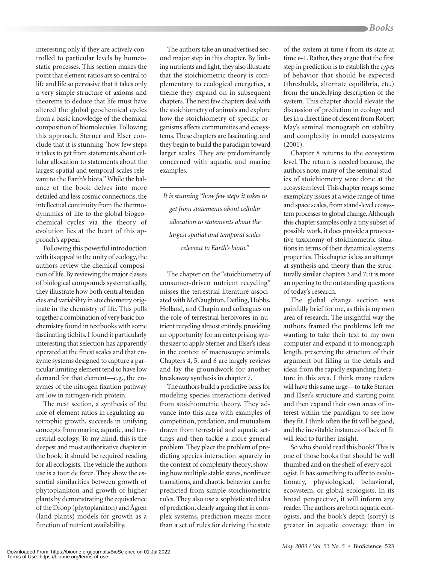interesting only if they are actively controlled to particular levels by homeostatic processes. This section makes the point that element ratios are so central to life and life so pervasive that it takes only a very simple structure of axioms and theorems to deduce that life must have altered the global geochemical cycles from a basic knowledge of the chemical composition of biomolecules. Following this approach, Sterner and Elser conclude that it is stunning "how few steps it takes to get from statements about cellular allocation to statements about the largest spatial and temporal scales relevant to the Earth's biota." While the balance of the book delves into more detailed and less cosmic connections, the intellectual continuity from the thermodynamics of life to the global biogeochemical cycles via the theory of evolution lies at the heart of this approach's appeal.

Following this powerful introduction with its appeal to the unity of ecology, the authors review the chemical composition of life. By reviewing the major classes of biological compounds systematically, they illustrate how both central tendencies and variability in stoichiometry originate in the chemistry of life. This pulls together a combination of very basic biochemistry found in textbooks with some fascinating tidbits. I found it particularly interesting that selection has apparently operated at the finest scales and that enzyme systems designed to capture a particular limiting element tend to have low demand for that element—e.g., the enzymes of the nitrogen fixation pathway are low in nitrogen-rich protein.

The next section, a synthesis of the role of element ratios in regulating autotrophic growth, succeeds in unifying concepts from marine, aquatic, and terrestrial ecology. To my mind, this is the deepest and most authoritative chapter in the book; it should be required reading for all ecologists. The vehicle the authors use is a tour de force. They show the essential similarities between growth of phytoplankton and growth of higher plants by demonstrating the equivalence of the Droop (phytoplankton) and Ågren (land plants) models for growth as a function of nutrient availability.

The authors take an unadvertised second major step in this chapter. By linking nutrients and light, they also illustrate that the stoichiometric theory is complementary to ecological energetics, a theme they expand on in subsequent chapters. The next few chapters deal with the stoichiometry of animals and explore how the stoichiometry of specific organisms affects communities and ecosystems. These chapters are fascinating, and they begin to build the paradigm toward larger scales. They are predominantly concerned with aquatic and marine examples.

*It is stunning "how few steps it takes to get from statements about cellular allocation to statements about the largest spatial and temporal scales relevant to Earth's biota."*

The chapter on the "stoichiometry of consumer-driven nutrient recycling" misses the terrestrial literature associated with McNaughton, Detling, Hobbs, Holland, and Chapin and colleagues on the role of terrestrial herbivores in nutrient recycling almost entirely, providing an opportunity for an enterprising synthesizer to apply Sterner and Elser's ideas in the context of macroscopic animals. Chapters 4, 5, and 6 are largely reviews and lay the groundwork for another breakaway synthesis in chapter 7.

The authors build a predictive basis for modeling species interactions derived from stoichiometric theory. They advance into this area with examples of competition, predation, and mutualism drawn from terrestrial and aquatic settings and then tackle a more general problem. They place the problem of predicting species interaction squarely in the context of complexity theory, showing how multiple stable states, nonlinear transitions, and chaotic behavior can be predicted from simple stoichiometric rules. They also use a sophisticated idea of prediction, clearly arguing that in complex systems, prediction means more than a set of rules for deriving the state

of the system at time *t* from its state at time *t*–1. Rather, they argue that the first step in prediction is to establish the *types* of behavior that should be expected (thresholds, alternate equilibria, etc.) from the underlying description of the system. This chapter should elevate the discussion of prediction in ecology and lies in a direct line of descent from Robert May's seminal monograph on stability and complexity in model ecosystems (2001).

Chapter 8 returns to the ecosystem level. The return is needed because, the authors note, many of the seminal studies of stoichiometry were done at the ecosystem level. This chapter recaps some exemplary issues at a wide range of time and space scales, from stand-level ecosystem processes to global change.Although this chapter samples only a tiny subset of possible work, it does provide a provocative taxonomy of stoichiometric situations in terms of their dynamical systems properties. This chapter is less an attempt at synthesis and theory than the structurally similar chapters 3 and 7; it is more an opening to the outstanding questions of today's research.

The global change section was painfully brief for me, as this is my own area of research. The insightful way the authors framed the problems left me wanting to take their text to my own computer and expand it to monograph length, preserving the structure of their argument but filling in the details and ideas from the rapidly expanding literature in this area. I think many readers will have this same urge—to take Sterner and Elser's structure and starting point and then expand their own areas of interest within the paradigm to see how they fit. I think often the fit will be good, and the inevitable instances of lack of fit will lead to further insight.

So who should read this book? This is one of those books that should be well thumbed and on the shelf of every ecologist. It has something to offer to evolutionary, physiological, behavioral, ecosystem, or global ecologists. In its broad perspective, it will inform any reader. The authors are both aquatic ecologists, and the book's depth (sorry) is greater in aquatic coverage than in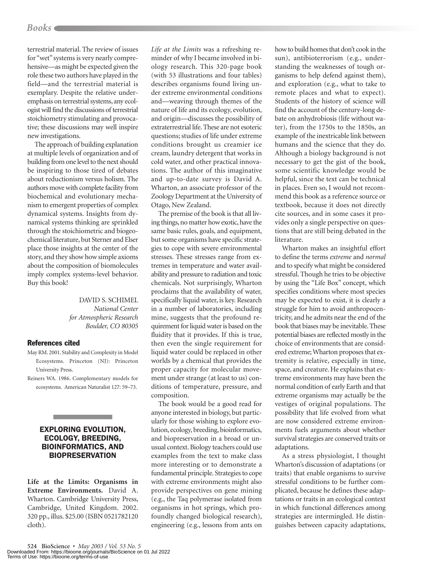# *Books*

terrestrial material. The review of issues for "wet" systems is very nearly comprehensive—as might be expected given the role these two authors have played in the field—and the terrestrial material is exemplary. Despite the relative underemphasis on terrestrial systems, any ecologist will find the discussions of terrestrial stoichiometry stimulating and provocative; these discussions may well inspire new investigations.

The approach of building explanation at multiple levels of organization and of building from one level to the next should be inspiring to those tired of debates about reductionism versus holism. The authors move with complete facility from biochemical and evolutionary mechanism to emergent properties of complex dynamical systems. Insights from dynamical systems thinking are sprinkled through the stoichiometric and biogeochemical literature, but Sterner and Elser place those insights at the center of the story, and they show how simple axioms about the composition of biomolecules imply complex systems-level behavior. Buy this book!

#### DAVID S. SCHIMEL *National Center for Atmospheric Research Boulder, CO 80305*

## References cited

- May RM. 2001. Stability and Complexity in Model Ecosystems. Princeton (NJ): Princeton University Press.
- Reiners WA. 1986. Complementary models for ecosystems. American Naturalist 127: 59–73.

### EXPLORING EVOLUTION, ECOLOGY, BREEDING, BIOINFORMATICS, AND BIOPRESERVATION

**Life at the Limits: Organisms in Extreme Environments.** David A. Wharton. Cambridge University Press, Cambridge, United Kingdom. 2002. 320 pp., illus. \$25.00 (ISBN 0521782120 cloth).

*Life at the Limits* was a refreshing reminder of why I became involved in biology research. This 320-page book (with 53 illustrations and four tables) describes organisms found living under extreme environmental conditions and—weaving through themes of the nature of life and its ecology, evolution, and origin—discusses the possibility of extraterrestrial life. These are not esoteric questions; studies of life under extreme conditions brought us creamier ice cream, laundry detergent that works in cold water, and other practical innovations. The author of this imaginative and up-to-date survey is David A. Wharton, an associate professor of the Zoology Department at the University of Otago, New Zealand.

The premise of the book is that all living things, no matter how exotic, have the same basic rules, goals, and equipment, but some organisms have specific strategies to cope with severe environmental stresses. These stresses range from extremes in temperature and water availability and pressure to radiation and toxic chemicals. Not surprisingly, Wharton proclaims that the availability of water, specifically liquid water, is key. Research in a number of laboratories, including mine, suggests that the profound requirement for liquid water is based on the fluidity that it provides. If this is true, then even the single requirement for liquid water could be replaced in other worlds by a chemical that provides the proper capacity for molecular movement under strange (at least to us) conditions of temperature, pressure, and composition.

The book would be a good read for anyone interested in biology, but particularly for those wishing to explore evolution, ecology, breeding, bioinformatics, and biopreservation in a broad or unusual context. Biology teachers could use examples from the text to make class more interesting or to demonstrate a fundamental principle. Strategies to cope with extreme environments might also provide perspectives on gene mining (e.g., the Taq polymerase isolated from organisms in hot springs, which profoundly changed biological research), engineering (e.g., lessons from ants on

how to build homes that don't cook in the sun), antibioterrorism (e.g., understanding the weaknesses of tough organisms to help defend against them), and exploration (e.g., what to take to remote places and what to expect). Students of the history of science will find the account of the century-long debate on anhydrobiosis (life without water), from the 1750s to the 1850s, an example of the inextricable link between humans and the science that they do. Although a biology background is not necessary to get the gist of the book, some scientific knowledge would be helpful, since the text can be technical in places. Even so, I would not recommend this book as a reference source or textbook, because it does not directly cite sources, and in some cases it provides only a single perspective on questions that are still being debated in the literature.

Wharton makes an insightful effort to define the terms *extreme* and *normal* and to specify what might be considered stressful. Though he tries to be objective by using the "Life Box" concept, which specifies conditions where most species may be expected to exist, it is clearly a struggle for him to avoid anthropocentricity, and he admits near the end of the book that biases may be inevitable. These potential biases are reflected mostly in the choice of environments that are considered extreme; Wharton proposes that extremity is relative, especially in time, space, and creature. He explains that extreme environments may have been the normal condition of early Earth and that extreme organisms may actually be the vestiges of original populations. The possibility that life evolved from what are now considered extreme environments fuels arguments about whether survival strategies are conserved traits or adaptations.

As a stress physiologist, I thought Wharton's discussion of adaptations (or traits) that enable organisms to survive stressful conditions to be further complicated, because he defines these adaptations or traits in an ecological context in which functional differences among strategies are intermingled. He distinguishes between capacity adaptations,